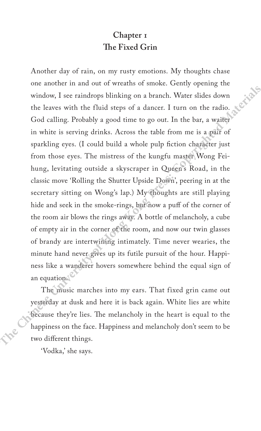## **Chapter 1 The Fixed Grin**

Another day of rain, on my rusty emotions. My thoughts chase one another in and out of wreaths of smoke. Gently opening the window, I see raindrops blinking on a branch. Water slides down the leaves with the fluid steps of a dancer. I turn on the radio. God calling. Probably a good time to go out. In the bar, a waiter in white is serving drinks. Across the table from me is a pair of sparkling eyes. (I could build a whole pulp fiction character just from those eyes. The mistress of the kungfu master Wong Feihung, levitating outside a skyscraper in Queen's Road, in the classic move 'Rolling the Shutter Upside Down', peering in at the secretary sitting on Wong's lap.) My thoughts are still playing hide and seek in the smoke-rings, but now a puff of the corner of the room air blows the rings away. A bottle of melancholy, a cube of empty air in the corner of the room, and now our twin glasses of brandy are intertwining intimately. Time never wearies, the minute hand never gives up its futile pursuit of the hour. Happiness like a wanderer hovers somewhere behind the equal sign of an equation.<sup>2</sup> Another day of rain, on my rusty emotions. My thoughts chase<br>one another in and out of wreaths of smoke. Gently opening the<br>window, I see raindrops blinking on a branch. Water slides down<br>the leaves with the fluid steps o

The music marches into my ears. That fixed grin came out yesterday at dusk and here it is back again. White lies are white because they're lies. The melancholy in the heart is equal to the happiness on the face. Happiness and melancholy don't seem to be two different things.

'Vodka,' she says.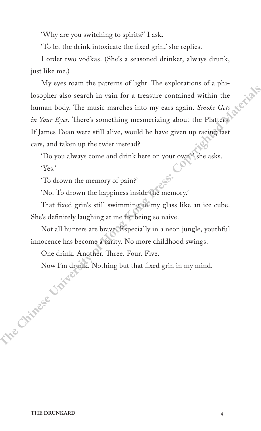'Why are you switching to spirits?' I ask.

'To let the drink intoxicate the fixed grin,' she replies.

I order two vodkas. (She's a seasoned drinker, always drunk, just like me.)

My eyes roam the patterns of light. The explorations of a philosopher also search in vain for a treasure contained within the human body. The music marches into my ears again. *Smoke Gets in Your Eyes*. There's something mesmerizing about the Platters. If James Dean were still alive, would he have given up racing fast cars, and taken up the twist instead? **There** is the result of the principle the selection of a philosopher also search in vain for a treasure contained within the human body. The music marches into my ears again. *Smoke Gets* in Your Eyes. There's something m

'Do you always come and drink here on your own?' she asks. 'Yes.'

'To drown the memory of pain?'

'No. To drown the happiness inside the memory.'

That fixed grin's still swimming in my glass like an ice cube. She's definitely laughing at me for being so naive.

Not all hunters are brave. Especially in a neon jungle, youthful innocence has become a rarity. No more childhood swings.

One drink. Another. Three. Four. Five.

Now I'm drunk. Nothing but that fixed grin in my mind.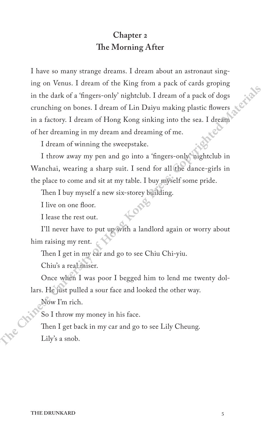## **Chapter 2 The Morning After**

I have so many strange dreams. I dream about an astronaut singing on Venus. I dream of the King from a pack of cards groping in the dark of a 'fingers-only' nightclub. I dream of a pack of dogs crunching on bones. I dream of Lin Daiyu making plastic flowers in a factory. I dream of Hong Kong sinking into the sea. I dream of her dreaming in my dream and dreaming of me. **There is on many strange dreams.** I dream about an astronaut sing-<br>
ing on Venus. I dream of the King from a pack of cards groping<br>
in the dark of a 'fingers-only' nightedub. I dream of a pack of dogs<br>
crunching on bones.

I dream of winning the sweepstake.

I throw away my pen and go into a 'fingers-only' nightclub in Wanchai, wearing a sharp suit. I send for all the dance-girls in the place to come and sit at my table. I buy myself some pride.

Then I buy myself a new six-storey building.

I live on one floor.

I lease the rest out.

I'll never have to put up with a landlord again or worry about him raising my rent.

Then I get in my car and go to see Chiu Chi-yiu.

Chiu's a real miser.

Once when I was poor I begged him to lend me twenty dollars. He just pulled a sour face and looked the other way.

Now I'm rich.

So I throw my money in his face.

Then I get back in my car and go to see Lily Cheung. Lily's a snob.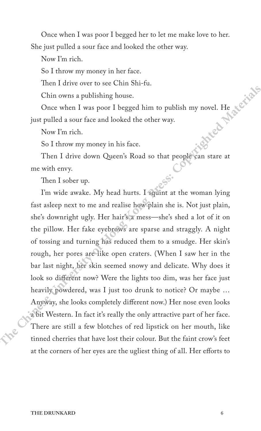Once when I was poor I begged her to let me make love to her. She just pulled a sour face and looked the other way.

Now I'm rich.

So I throw my money in her face.

Then I drive over to see Chin Shi-fu.

Chin owns a publishing house.

Once when I was poor I begged him to publish my novel. He just pulled a sour face and looked the other way.

Now I'm rich.

So I throw my money in his face.

Then I drive down Queen's Road so that people can stare at me with envy.

Then I sober up.

I'm wide awake. My head hurts. I squint at the woman lying fast asleep next to me and realise how plain she is. Not just plain, she's downright ugly. Her hair's a mess—she's shed a lot of it on the pillow. Her fake eyebrows are sparse and straggly. A night of tossing and turning has reduced them to a smudge. Her skin's rough, her pores are like open craters. (When I saw her in the bar last night, her skin seemed snowy and delicate. Why does it look so different now? Were the lights too dim, was her face just heavily powdered, was I just too drunk to notice? Or maybe … Anyway, she looks completely different now.) Her nose even looks a bit Western. In fact it's really the only attractive part of her face. There are still a few blotches of red lipstick on her mouth, like tinned cherries that have lost their colour. But the faint crow's feet at the corners of her eyes are the ugliest thing of all. Her efforts to **Then** I drive over to see Chin Shi-fu.<br>
Chin owns a publishing house.<br>
Once when I was poor I begged him to publish my novel. He gives<br>
yint pulled a sour face and looked the other way.<br>
Now I'm rich.<br>
So I throw my money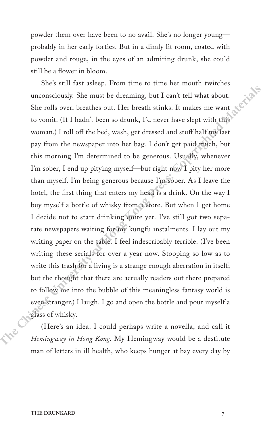powder them over have been to no avail. She's no longer young probably in her early forties. But in a dimly lit room, coated with powder and rouge, in the eyes of an admiring drunk, she could still be a flower in bloom.

She's still fast asleep. From time to time her mouth twitches unconsciously. She must be dreaming, but I can't tell what about. She rolls over, breathes out. Her breath stinks. It makes me want to vomit. (If I hadn't been so drunk, I'd never have slept with this woman.) I roll off the bed, wash, get dressed and stuff half my last pay from the newspaper into her bag. I don't get paid much, but this morning I'm determined to be generous. Usually, whenever I'm sober, I end up pitying myself—but right now I pity her more than myself. I'm being generous because I'm sober. As I leave the hotel, the first thing that enters my head is a drink. On the way I buy myself a bottle of whisky from a store. But when I get home I decide not to start drinking quite yet. I've still got two separate newspapers waiting for my kungfu instalments. I lay out my writing paper on the table. I feel indescribably terrible. (I've been writing these serials for over a year now. Stooping so low as to write this trash for a living is a strange enough aberration in itself; but the thought that there are actually readers out there prepared to follow me into the bubble of this meaningless fantasy world is even stranger.) I laugh. I go and open the bottle and pour myself a glass of whisky. **There is the computer of the set of the set of the set of the set of the set of the set of the set of the set of the set of the set of the press of the press of the press of the press of the press of the press of the set** 

(Here's an idea. I could perhaps write a novella, and call it *Hemingway in Hong Kong*. My Hemingway would be a destitute man of letters in ill health, who keeps hunger at bay every day by